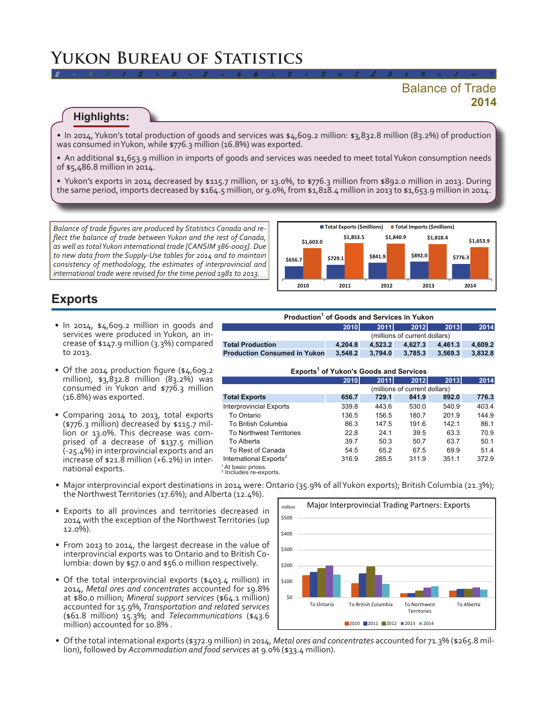# **Yukon Bureau of Statistics**

## **2014** Balance of Trade

#### **Highlights:**

• In 2014, Yukon's total production of goods and services was \$4,609.2 million: \$3,832.8 million (83.2%) of production was consumed inYukon, while \$776.3 million (16.8%) was exported.

*2 ÷ 9 # 1 \$ > 0 - 2 + 6 & ± 8 < 3 π 7 £ 5 ‡ 9 ≈ 1 ∞ ^*

• An additional \$1,653.9 million in imports of goods and services was needed to meet total Yukon consumption needs of \$5,486.8 million in 2014.

• Yukon's exports in 2014 decreased by \$115.7 million, or 13.0%, to \$776.3 million from \$892.0 million in 2013. During the same period, imports decreased by \$164.5 million, or 9.0%, from \$1,818.4 million in 2013 to \$1,653.9 million in 2014.

*Balance of trade figures are produced by Statistics Canada and reflect the balance of trade between Yukon and the rest of Canada, as well as total Yukon international trade [CANSIM 386-0003]. Due to new data from the Supply-Use tables for 2014 and to maintain consistency of methodology, the estimates of interprovincial and international trade were revised for the time period 1981 to 2013.*



### **Exports**

- In 2014, \$4,609.2 million in goods and services were produced in Yukon, an increase of \$147.9 million (3.3%) compared to 2013.
- Of the 2014 production figure (\$4,609.2) million), \$3,832.8 million (83.2%) was consumed in Yukon and \$776.3 million (16.8%) was exported.
- • Comparing 2014 to 2013, total exports (\$776.3 million) decreased by \$115.7 mil- lion or 13.0%. This decrease was com- prised of <sup>a</sup> decrease of \$137.5 million (-25.4%) in interprovincial exports and an increase of \$21.8 million (+6.2%) in inter- national exports.

| Production <sup>1</sup> of Goods and Services in Yukon |                               |         |         |         |         |  |  |
|--------------------------------------------------------|-------------------------------|---------|---------|---------|---------|--|--|
|                                                        | <b>2010</b>                   | 2011    | 2012    | 2013    | 2014    |  |  |
|                                                        | (millions of current dollars) |         |         |         |         |  |  |
| <b>Total Production</b>                                | 4.204.8                       | 4.523.2 | 4.627.3 | 4.461.3 | 4.609.2 |  |  |
| <b>Production Consumed in Yukon</b>                    | 3.548.2                       | 3.794.0 | 3.785.3 | 3.569.3 | 3.832.8 |  |  |

#### **Exports1 of Yukon's Goods and Services**

|                                                                    | 2010                          | 2011  | 2012  | 2013  | 2014  |  |  |  |
|--------------------------------------------------------------------|-------------------------------|-------|-------|-------|-------|--|--|--|
|                                                                    | (millions of current dollars) |       |       |       |       |  |  |  |
| <b>Total Exports</b>                                               | 656.7                         | 729.1 | 841.9 | 892.0 | 776.3 |  |  |  |
| <b>Interprovincial Exports</b>                                     | 339.8                         | 443.6 | 530.0 | 540.9 | 403.4 |  |  |  |
| To Ontario                                                         | 136.5                         | 156.5 | 180.7 | 201.9 | 144.9 |  |  |  |
| To British Columbia                                                | 86.3                          | 147.5 | 191.6 | 142.1 | 86.1  |  |  |  |
| <b>To Northwest Territories</b>                                    | 22.8                          | 24.1  | 39.5  | 63.3  | 70.9  |  |  |  |
| To Alberta                                                         | 39.7                          | 50.3  | 50.7  | 63.7  | 50.1  |  |  |  |
| To Rest of Canada                                                  | 54.5                          | 65.2  | 67.5  | 69.9  | 51.4  |  |  |  |
| International Exports <sup>2</sup>                                 | 316.9                         | 285.5 | 311.9 | 351.1 | 372.9 |  |  |  |
| <sup>1</sup> At basic prices.<br><sup>2</sup> Includes re-exports. |                               |       |       |       |       |  |  |  |

- • Major interprovincial export destinations in 2014 were: Ontario (35.9% of allYukon exports); British Columbia (21.3%); the Northwest Territories (17.6%); and Alberta (12.4%).
- • Exports to all provinces and territories decreased in 2014 with the exception of the Northwest Territories (up 12.0%).
- From 2013 to 2014, the largest decrease in the value of interprovincial exports was to Ontario and to British Columbia: down by \$57.0 and \$56.0 million respectively.
- Of the total interprovincial exports (\$403.4 million) in 2014, *Metal ores and concentrates* accounted for 19.8% at \$80.0 million; *Mineral support services* (\$64.1 million) accounted for 15.9%, *Transportation and related services*  (\$61.8 million) 15.3%; and *Telecommunications* (\$43.6 million) accounted for 10.8% .



• Of the total international exports (\$372.9 million) in 2014, *Metal ores and concentrates* accounted for 71.3% (\$265.8 million), followed by *Accommodation and food services* at 9.0% (\$33.4 million).